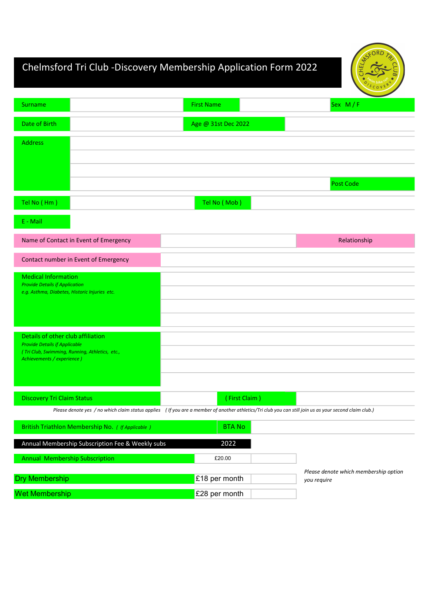# Chelmsford Tri Club -Discovery Membership Application Form 2022

|                                                                                        |                                                                                                                                                        | CORF                                  |
|----------------------------------------------------------------------------------------|--------------------------------------------------------------------------------------------------------------------------------------------------------|---------------------------------------|
| Surname                                                                                | <b>First Name</b>                                                                                                                                      | Sex $M/F$                             |
| Date of Birth                                                                          | Age @ 31st Dec 2022                                                                                                                                    |                                       |
| <b>Address</b>                                                                         |                                                                                                                                                        |                                       |
|                                                                                        |                                                                                                                                                        |                                       |
|                                                                                        |                                                                                                                                                        |                                       |
|                                                                                        |                                                                                                                                                        | Post Code                             |
| Tel No (Hm)                                                                            | Tel No (Mob)                                                                                                                                           |                                       |
| $E - Mail$                                                                             |                                                                                                                                                        |                                       |
| Name of Contact in Event of Emergency                                                  |                                                                                                                                                        | Relationship                          |
| Contact number in Event of Emergency                                                   |                                                                                                                                                        |                                       |
| <b>Medical Information</b>                                                             |                                                                                                                                                        |                                       |
| <b>Provide Details if Application</b><br>e.g. Asthma, Diabetes, Historic Injuries etc. |                                                                                                                                                        |                                       |
|                                                                                        |                                                                                                                                                        |                                       |
|                                                                                        |                                                                                                                                                        |                                       |
| Details of other club affiliation                                                      |                                                                                                                                                        |                                       |
| <b>Provide Details if Applicable</b><br>(Tri Club, Swimming, Running, Athletics, etc., |                                                                                                                                                        |                                       |
| Achievements / experience )                                                            |                                                                                                                                                        |                                       |
|                                                                                        |                                                                                                                                                        |                                       |
| <b>Discovery Tri Claim Status</b>                                                      | (First Claim)                                                                                                                                          |                                       |
|                                                                                        | Please denote yes / no which claim status applies (If you are a member of another athletics/Tri club you can still join us as your second claim club.) |                                       |
| British Triathlon Membership No. ( If Applicable )                                     | <b>BTANO</b>                                                                                                                                           |                                       |
| Annual Membership Subscription Fee & Weekly subs                                       | 2022                                                                                                                                                   |                                       |
| Annual Membership Subscription                                                         | £20.00                                                                                                                                                 |                                       |
| <b>Dry Membership</b>                                                                  | £18 per month                                                                                                                                          | Please denote which membership option |
|                                                                                        |                                                                                                                                                        | you require                           |
| <b>Wet Membership</b>                                                                  | £28 per month                                                                                                                                          |                                       |